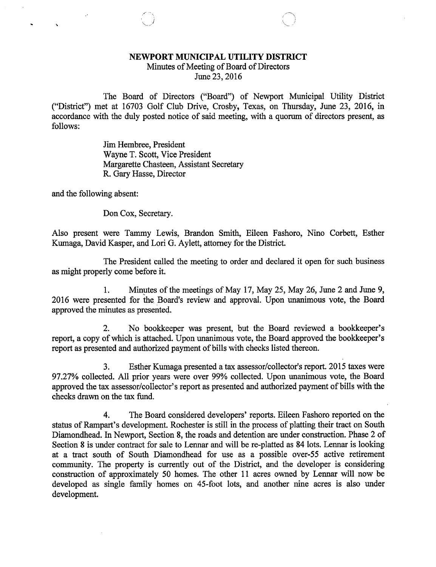## NEWPORT MUNICIPAL UTILITY DISTRICT

Minutes of Meeting of Board of Directors

June 23, 2016

The Board of Directors ("Board") of Newport Municipal Utility District ("District") met at 16703 Golf Club Drive, Crosby, Texas, on Thursday, June 23, 2016, in accordance with the duly posted notice of said meeting, with a quorum of directors present, as follows:

> Jim Hembree, President Wayne T. Scott, Vice President Margarette Chasteen, Assistant Secretary R. Gary Hasse, Director

and the following absent:

Don Cox, Secretary.

Also present were Tammy Lewis, Brandon Smith, Eileen Fashoro, Nino Corbett, Esther Kumaga, David Kasper, and Lori G. Aylett, attorney for the District.

The President called the meeting to order and declared it open for such business as might properly come before it.

1. Minutes of the meetings of May 17, May 25, May 26, June 2 and June 9, 2016 were presented for the. Board's review and approval. Upon unanimous vote, the Board approved the minutes as presented.

2. No bookkeeper was present, but the Board reviewed a bookkeeper's report, a copy of which is attached. Upon unanimous vote, the Board approved the bookkeeper's report as presented and authorized payment of bills with checks listed thereon.

3. Esther Kumaga presented a tax assessor/collector's report. 2015 taxes were 97.27% collected. All prior years were over 99% collected. Upon unanimous vote, the Board approved the tax assessor/collector's report as presented and authorized payment of bills with the checks drawn on the tax fund.

4. The Board considered developers' reports. Eileen Fashoro reported on the status of Rampart's development. Rochester is still in the process of platting their tract on South Diamondhead. In Newport, Section 8, the roads and detention are under construction. Phase 2 of Section 8 is under contract for sale to Lennar and will be re-platted as 84 lots. Lennar is looking at a tract south of South Diamondhead for use as a possible over-55 active retirement community. The property is currently out of the District, and the developer is considering construction of approximately 50 homes. The other 11 acres owned by Lennar will now be developed as single family homes on 45-foot lots, and another nine acres is also under development.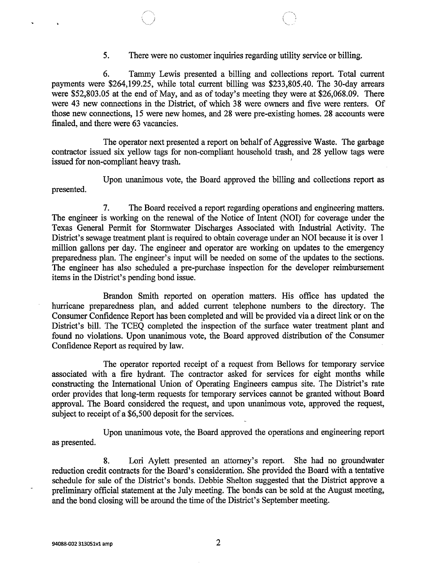5. There were no customer inquiries regarding utility service or billing.

6. Tammy Lewis presented a billing and collections report. Total current payments were \$264,199.25, while total current billing was \$233,805.40. The 30-day arrears were \$52,803.05 at the end of May, and as of today's meeting they were at \$26,068.09. There were 43 new connections in the District, of which 38 were owners and five were renters. Of those new connections, 15 were new homes, and 28 were pre-existing homes. 28 accounts were finaled, and there were 63 vacancies.

The operator next presented a report on behalf of Aggressive Waste. The garbage contractor issued six yellow tags for non-compliant household trash, and 28 yellow tags were issued for non-compliant heavy trash.

Upon unanimous vote, the Board approved the billing and collections report as presented.

7. The Board received a report regarding operations and engineering matters. The engineer is working on the renewal of the Notice of Intent (NOI) for coverage under the Texas General Permit for Stormwater Discharges Associated with Industrial Activity. The District's sewage treatment plant is required to obtain coverage under an NOI because it is over 1 million gallons per day. The engineer and operator are working on updates to the emergency preparedness plan. The engineer's input will be needed on some of the updates to the sections. The engineer has also scheduled a pre-purchase inspection for the developer reimbursement items in the District's pending bond issue.

Brandon Smith reported on operation matters. His office has updated the hurricane preparedness plan, and added current telephone numbers to the directory. The Consumer Confidence Report has been completed and will be provided via a direct link or on the District's bill. The TCEQ completed the inspection of the surface water treatment plant and found no violations. Upon unanimous vote, the Board approved distribution of the Consumer Confidence Report as required by law.

The operator reported receipt of a request from Bellows for temporary service associated with a fire hydrant. The contractor asked for services for eight months while constructing the International Union of Operating Engineers campus site. The District's rate order provides that long-term requests for temporary services cannot be granted without Board approval. The Board considered the request, and upon unanimous vote, approved the request, subject to receipt of a \$6,500 deposit for the services.

Upon unanimous vote, the Board approved the operations and engineering report as presented.

8. Lori Aylett presented an attorney's report. She had no groundwater reduction credit contracts for the Board's consideration. She provided the Board with a tentative schedule for sale of the District's bonds. Debbie Shelton suggested that the District approve a preliminary official statement at the July meeting. The bonds can be sold at the August meeting, and the bond closing will be around the time of the District's September meeting.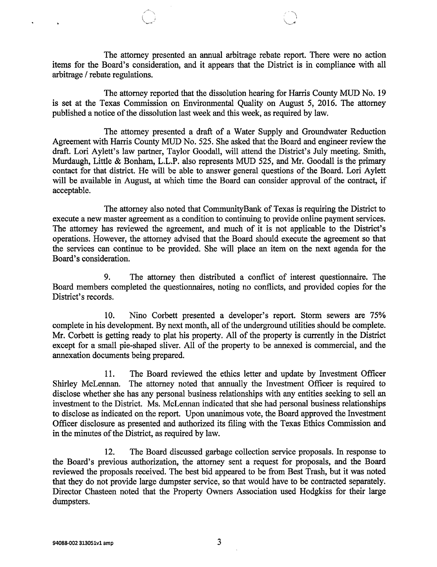The attorney presented an annual arbitrage rebate report. There were no action items for the Board's consideration, and it appears that the District is in compliance with all arbitrage / rebate regulations.

The attorney reported that the dissolution hearing for Harris County MUD No. 19 is set at the Texas Commission on Environmental Quality on August 5, 2016. The attorney published a notice of the dissolution last week and this week, as required by law.

The attorney presented a draft of a Water Supply and Groundwater Reduction Agreement with Harris County MUD No. 525. She asked that the Board and engineer review the draft. Lori Aylett's law partner, Taylor Goodall, will attend the District's July meeting. Smith, Murdaugh, Little & Bonham, L.L.P. also represents MUD 525, and Mr. Goodall is the primary contact for that district. He will be able to answer general questions of the Board. Lori Aylett will be available in August, at which time the Board can consider approval of the contract, if acceptable.

The attorney also noted that CommunityBank of Texas is requiring the District to execute a new master agreement as a condition to continuing to provide online payment services. The attorney has reviewed the agreement, and much of it is not applicable to the District's operations. However, the attorney advised that the Board should execute the agreement so that the services can continue to be provided. She will place an item on the next agenda for the Board's consideration.

9. The attorney then distributed a conflict of interest questionnaire. The Board members completed the questionnaires, noting no conflicts, and provided copies for the District's records.

10. Nino Corbett presented a developer's report. Storm sewers are 75% complete in his development. By next month, all of the underground utilities should be complete. Mr. Corbett is getting ready to plat his property. All of the property is currently in the District except for a small pie-shaped sliver. All of the property to be annexed is commercial, and the annexation documents being prepared.

11. The Board reviewed the ethics letter and update by Investment Officer Shirley McLennan. The attorney noted that annually the Investment Officer is required to disclose whether she has any personal business relationships with any entities seeking to sell an investment to the District. Ms. McLennan indicated that she had personal business relationships to disclose as indicated on the report. Upon unanimous vote, the Board approved the Investment Officer disclosure as presented and authorized its filing with the Texas Ethics Commission and in the minutes of the District, as required by law.

12. The Board discussed garbage collection service proposals. In response to the Board's previous authorization, the attorney sent a request for proposals, and the Board reviewed the proposals received. The best bid appeared to be from Best Trash, but it was noted that they do not provide large dumpster service, so that would have to be contracted separately. Director Chasteen noted that the Property Owners Association used Hodgkiss for their large dumpsters.

 $\ddot{\phantom{0}}$